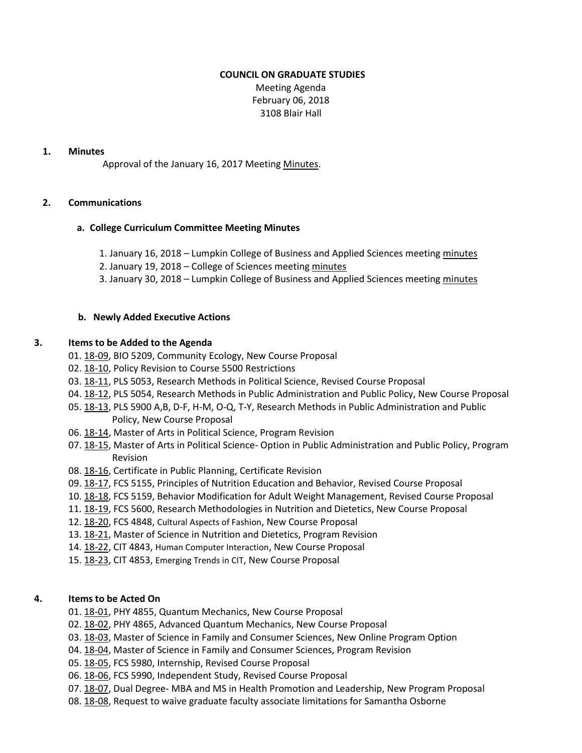## **COUNCIL ON GRADUATE STUDIES**

Meeting Agenda February 06, 2018 3108 Blair Hall

#### **1. Minutes**

Approval of the January 16, 2017 Meeting [Minutes.](http://castle.eiu.edu/eiucgs/currentminutes/Minutes01-16-18.pdf)

## **2. Communications**

## **a. College Curriculum Committee Meeting Minutes**

- 1. January 16, 2018 Lumpkin College of Business and Applied Sciences meeting [minutes](http://www.eiu.edu/~lumpkin/Curriculum/lcbascurrmin20180116.pdf)
- 2. January 19, 2018 College of Sciences meeting [minutes](http://www.eiu.edu/colsci/coscc/minutes_2017/COSCC_Minutes_1_19_18.pdf)
- 3. January 30, 2018 Lumpkin College of Business and Applied Sciences meeting [minutes](http://www.eiu.edu/~lumpkin/Curriculum/lcbascurrmin20180130.pdf)

## **b. Newly Added Executive Actions**

## **3. Items to be Added to the Agenda**

- 01[. 18-09,](http://castle.eiu.edu/eiucgs/currentagendaitems/agenda18-09.pdf) BIO 5209, Community Ecology, New Course Proposal
- 02[. 18-10,](http://castle.eiu.edu/eiucgs/currentagendaitems/agenda18-10.pdf) Policy Revision to Course 5500 Restrictions
- 03[. 18-11,](http://castle.eiu.edu/eiucgs/currentagendaitems/agenda18-11.pdf) PLS 5053, Research Methods in Political Science, Revised Course Proposal
- 04[. 18-12,](http://castle.eiu.edu/eiucgs/currentagendaitems/agenda18-12.pdf) PLS 5054, Research Methods in Public Administration and Public Policy, New Course Proposal
- 05[. 18-13,](http://castle.eiu.edu/eiucgs/currentagendaitems/agenda18-13.pdf) PLS 5900 A,B, D-F, H-M, O-Q, T-Y, Research Methods in Public Administration and Public Policy, New Course Proposal
- 06[. 18-14,](http://castle.eiu.edu/eiucgs/currentagendaitems/agenda18-14.pdf) Master of Arts in Political Science, Program Revision
- 07[. 18-15,](http://castle.eiu.edu/eiucgs/currentagendaitems/agenda18-15.pdf) Master of Arts in Political Science- Option in Public Administration and Public Policy, Program Revision
- 08[. 18-16,](http://castle.eiu.edu/eiucgs/currentagendaitems/agenda18-16.pdf) Certificate in Public Planning, Certificate Revision
- 09[. 18-17,](http://castle.eiu.edu/eiucgs/currentagendaitems/agenda18-17.pdf) FCS 5155, Principles of Nutrition Education and Behavior, Revised Course Proposal
- 10[. 18-18,](http://castle.eiu.edu/eiucgs/currentagendaitems/agenda18-18.pdf) FCS 5159, Behavior Modification for Adult Weight Management, Revised Course Proposal
- 11[. 18-19,](http://castle.eiu.edu/eiucgs/currentagendaitems/agenda18-19.pdf) FCS 5600, Research Methodologies in Nutrition and Dietetics, New Course Proposal
- 12[. 18-20,](http://castle.eiu.edu/eiucgs/currentagendaitems/agenda18-20.pdf) FCS 4848, Cultural Aspects of Fashion, New Course Proposal
- 13[. 18-21,](http://castle.eiu.edu/eiucgs/currentagendaitems/agenda18-21.pdf) Master of Science in Nutrition and Dietetics, Program Revision
- 14[. 18-22,](http://castle.eiu.edu/eiucgs/currentagendaitems/agenda18-22.pdf) CIT 4843, Human Computer Interaction, New Course Proposal
- 15[. 18-23,](http://castle.eiu.edu/eiucgs/currentagendaitems/agenda18-23.pdf) CIT 4853, Emerging Trends in CIT, New Course Proposal

## **4. Items to be Acted On**

- 01[. 18-01,](http://castle.eiu.edu/eiucgs/currentagendaitems/agenda18-01.pdf) PHY 4855, Quantum Mechanics, New Course Proposal
- 02[. 18-02,](http://castle.eiu.edu/eiucgs/currentagendaitems/agenda18-02.pdf) PHY 4865, Advanced Quantum Mechanics, New Course Proposal
- 03[. 18-03,](http://castle.eiu.edu/eiucgs/currentagendaitems/agenda18-03.pdf) Master of Science in Family and Consumer Sciences, New Online Program Option
- 04[. 18-04,](http://castle.eiu.edu/eiucgs/currentagendaitems/agenda18-04.pdf) Master of Science in Family and Consumer Sciences, Program Revision
- 05[. 18-05,](http://castle.eiu.edu/eiucgs/currentagendaitems/agenda18-05.pdf) FCS 5980, Internship, Revised Course Proposal
- 06[. 18-06,](http://castle.eiu.edu/eiucgs/currentagendaitems/agenda18-06.pdf) FCS 5990, Independent Study, Revised Course Proposal
- 07[. 18-07,](http://castle.eiu.edu/eiucgs/currentagendaitems/agenda18-07.pdf) Dual Degree- MBA and MS in Health Promotion and Leadership, New Program Proposal
- 08[. 18-08,](http://castle.eiu.edu/eiucgs/currentagendaitems/agenda18-08.pdf) Request to waive graduate faculty associate limitations for Samantha Osborne